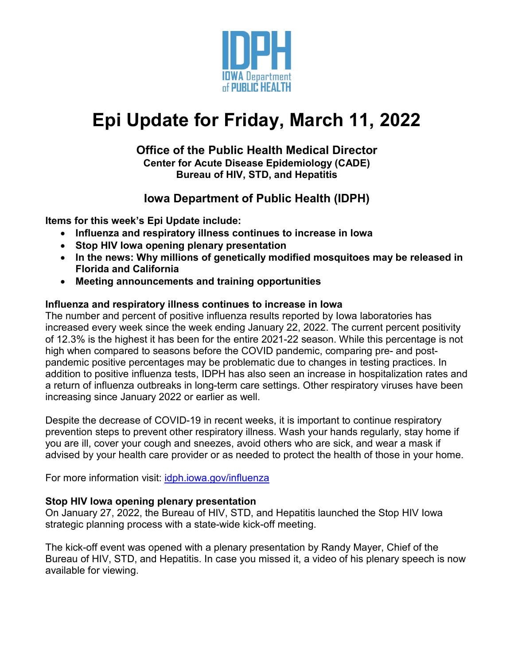

# **Epi Update for Friday, March 11, 2022**

#### **Office of the Public Health Medical Director Center for Acute Disease Epidemiology (CADE) Bureau of HIV, STD, and Hepatitis**

# **Iowa Department of Public Health (IDPH)**

**Items for this week's Epi Update include:**

- **Influenza and respiratory illness continues to increase in Iowa**
- **Stop HIV Iowa opening plenary presentation**
- **In the news: Why millions of genetically modified mosquitoes may be released in Florida and California**
- **Meeting announcements and training opportunities**

## **Influenza and respiratory illness continues to increase in Iowa**

The number and percent of positive influenza results reported by Iowa laboratories has increased every week since the week ending January 22, 2022. The current percent positivity of 12.3% is the highest it has been for the entire 2021-22 season. While this percentage is not high when compared to seasons before the COVID pandemic, comparing pre- and postpandemic positive percentages may be problematic due to changes in testing practices. In addition to positive influenza tests, IDPH has also seen an increase in hospitalization rates and a return of influenza outbreaks in long-term care settings. Other respiratory viruses have been increasing since January 2022 or earlier as well.

Despite the decrease of COVID-19 in recent weeks, it is important to continue respiratory prevention steps to prevent other respiratory illness. Wash your hands regularly, stay home if you are ill, cover your cough and sneezes, avoid others who are sick, and wear a mask if advised by your health care provider or as needed to protect the health of those in your home.

For more information visit: [idph.iowa.gov/influenza](https://idph.iowa.gov/influenza)

## **Stop HIV Iowa opening plenary presentation**

On January 27, 2022, the Bureau of HIV, STD, and Hepatitis launched the Stop HIV Iowa strategic planning process with a state-wide kick-off meeting.

The kick-off event was opened with a plenary presentation by Randy Mayer, Chief of the Bureau of HIV, STD, and Hepatitis. In case you missed it, a video of his plenary speech is now available for viewing.